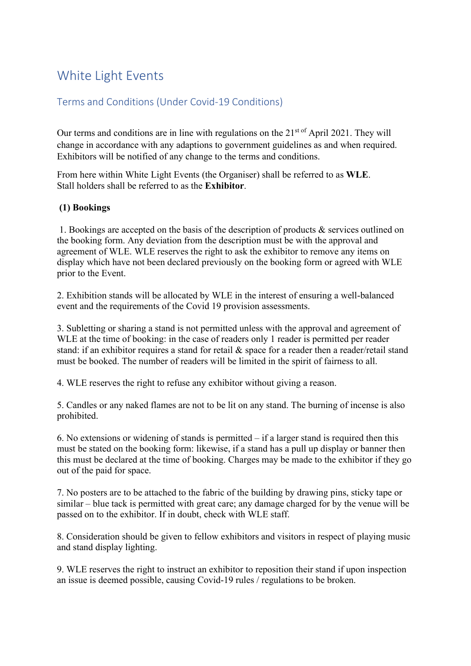# White Light Events

# Terms and Conditions (Under Covid-19 Conditions)

Our terms and conditions are in line with regulations on the  $21<sup>st of</sup>$  April 2021. They will change in accordance with any adaptions to government guidelines as and when required. Exhibitors will be notified of any change to the terms and conditions.

From here within White Light Events (the Organiser) shall be referred to as WLE. Stall holders shall be referred to as the Exhibitor.

#### (1) Bookings

 1. Bookings are accepted on the basis of the description of products & services outlined on the booking form. Any deviation from the description must be with the approval and agreement of WLE. WLE reserves the right to ask the exhibitor to remove any items on display which have not been declared previously on the booking form or agreed with WLE prior to the Event.

2. Exhibition stands will be allocated by WLE in the interest of ensuring a well-balanced event and the requirements of the Covid 19 provision assessments.

3. Subletting or sharing a stand is not permitted unless with the approval and agreement of WLE at the time of booking: in the case of readers only 1 reader is permitted per reader stand: if an exhibitor requires a stand for retail & space for a reader then a reader/retail stand must be booked. The number of readers will be limited in the spirit of fairness to all.

4. WLE reserves the right to refuse any exhibitor without giving a reason.

5. Candles or any naked flames are not to be lit on any stand. The burning of incense is also prohibited.

6. No extensions or widening of stands is permitted  $-$  if a larger stand is required then this must be stated on the booking form: likewise, if a stand has a pull up display or banner then this must be declared at the time of booking. Charges may be made to the exhibitor if they go out of the paid for space.

7. No posters are to be attached to the fabric of the building by drawing pins, sticky tape or similar – blue tack is permitted with great care; any damage charged for by the venue will be passed on to the exhibitor. If in doubt, check with WLE staff.

8. Consideration should be given to fellow exhibitors and visitors in respect of playing music and stand display lighting.

9. WLE reserves the right to instruct an exhibitor to reposition their stand if upon inspection an issue is deemed possible, causing Covid-19 rules / regulations to be broken.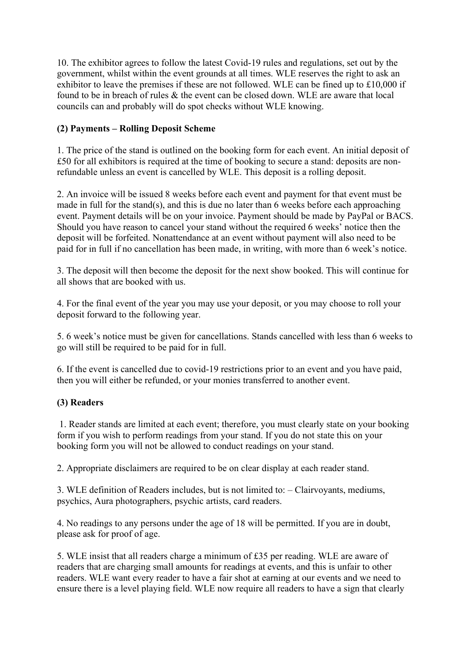10. The exhibitor agrees to follow the latest Covid-19 rules and regulations, set out by the government, whilst within the event grounds at all times. WLE reserves the right to ask an exhibitor to leave the premises if these are not followed. WLE can be fined up to £10,000 if found to be in breach of rules & the event can be closed down. WLE are aware that local councils can and probably will do spot checks without WLE knowing.

## (2) Payments – Rolling Deposit Scheme

1. The price of the stand is outlined on the booking form for each event. An initial deposit of £50 for all exhibitors is required at the time of booking to secure a stand: deposits are nonrefundable unless an event is cancelled by WLE. This deposit is a rolling deposit.

2. An invoice will be issued 8 weeks before each event and payment for that event must be made in full for the stand(s), and this is due no later than 6 weeks before each approaching event. Payment details will be on your invoice. Payment should be made by PayPal or BACS. Should you have reason to cancel your stand without the required 6 weeks' notice then the deposit will be forfeited. Nonattendance at an event without payment will also need to be paid for in full if no cancellation has been made, in writing, with more than 6 week's notice.

3. The deposit will then become the deposit for the next show booked. This will continue for all shows that are booked with us.

4. For the final event of the year you may use your deposit, or you may choose to roll your deposit forward to the following year.

5. 6 week's notice must be given for cancellations. Stands cancelled with less than 6 weeks to go will still be required to be paid for in full.

6. If the event is cancelled due to covid-19 restrictions prior to an event and you have paid, then you will either be refunded, or your monies transferred to another event.

### (3) Readers

 1. Reader stands are limited at each event; therefore, you must clearly state on your booking form if you wish to perform readings from your stand. If you do not state this on your booking form you will not be allowed to conduct readings on your stand.

2. Appropriate disclaimers are required to be on clear display at each reader stand.

3. WLE definition of Readers includes, but is not limited to: – Clairvoyants, mediums, psychics, Aura photographers, psychic artists, card readers.

4. No readings to any persons under the age of 18 will be permitted. If you are in doubt, please ask for proof of age.

5. WLE insist that all readers charge a minimum of £35 per reading. WLE are aware of readers that are charging small amounts for readings at events, and this is unfair to other readers. WLE want every reader to have a fair shot at earning at our events and we need to ensure there is a level playing field. WLE now require all readers to have a sign that clearly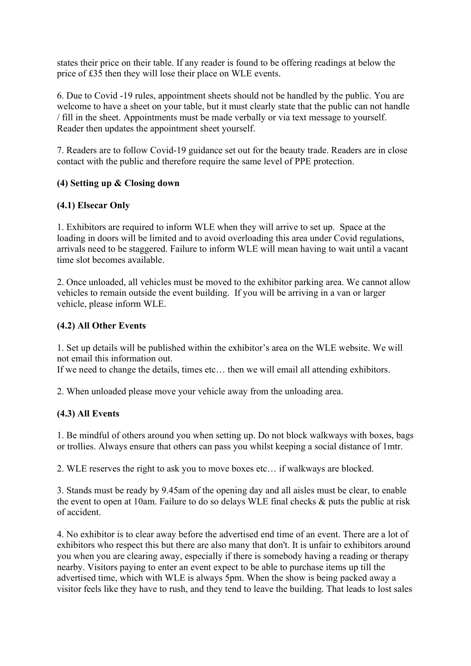states their price on their table. If any reader is found to be offering readings at below the price of £35 then they will lose their place on WLE events.

6. Due to Covid -19 rules, appointment sheets should not be handled by the public. You are welcome to have a sheet on your table, but it must clearly state that the public can not handle / fill in the sheet. Appointments must be made verbally or via text message to yourself. Reader then updates the appointment sheet yourself.

7. Readers are to follow Covid-19 guidance set out for the beauty trade. Readers are in close contact with the public and therefore require the same level of PPE protection.

#### (4) Setting up & Closing down

#### (4.1) Elsecar Only

1. Exhibitors are required to inform WLE when they will arrive to set up. Space at the loading in doors will be limited and to avoid overloading this area under Covid regulations, arrivals need to be staggered. Failure to inform WLE will mean having to wait until a vacant time slot becomes available.

2. Once unloaded, all vehicles must be moved to the exhibitor parking area. We cannot allow vehicles to remain outside the event building. If you will be arriving in a van or larger vehicle, please inform WLE.

#### (4.2) All Other Events

1. Set up details will be published within the exhibitor's area on the WLE website. We will not email this information out.

If we need to change the details, times etc… then we will email all attending exhibitors.

2. When unloaded please move your vehicle away from the unloading area.

#### (4.3) All Events

1. Be mindful of others around you when setting up. Do not block walkways with boxes, bags or trollies. Always ensure that others can pass you whilst keeping a social distance of 1mtr.

2. WLE reserves the right to ask you to move boxes etc… if walkways are blocked.

3. Stands must be ready by 9.45am of the opening day and all aisles must be clear, to enable the event to open at 10am. Failure to do so delays WLE final checks & puts the public at risk of accident.

4. No exhibitor is to clear away before the advertised end time of an event. There are a lot of exhibitors who respect this but there are also many that don't. It is unfair to exhibitors around you when you are clearing away, especially if there is somebody having a reading or therapy nearby. Visitors paying to enter an event expect to be able to purchase items up till the advertised time, which with WLE is always 5pm. When the show is being packed away a visitor feels like they have to rush, and they tend to leave the building. That leads to lost sales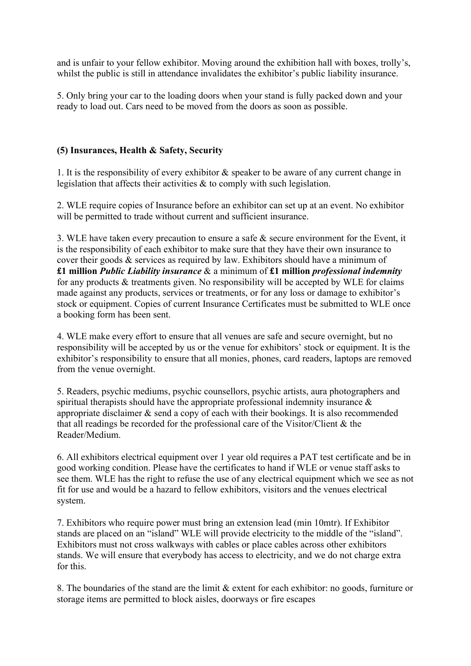and is unfair to your fellow exhibitor. Moving around the exhibition hall with boxes, trolly's, whilst the public is still in attendance invalidates the exhibitor's public liability insurance.

5. Only bring your car to the loading doors when your stand is fully packed down and your ready to load out. Cars need to be moved from the doors as soon as possible.

#### (5) Insurances, Health & Safety, Security

1. It is the responsibility of every exhibitor & speaker to be aware of any current change in legislation that affects their activities & to comply with such legislation.

2. WLE require copies of Insurance before an exhibitor can set up at an event. No exhibitor will be permitted to trade without current and sufficient insurance.

3. WLE have taken every precaution to ensure a safe & secure environment for the Event, it is the responsibility of each exhibitor to make sure that they have their own insurance to cover their goods & services as required by law. Exhibitors should have a minimum of £1 million *Public Liability insurance*  $\&$  a minimum of £1 million *professional indemnity* for any products & treatments given. No responsibility will be accepted by WLE for claims made against any products, services or treatments, or for any loss or damage to exhibitor's stock or equipment. Copies of current Insurance Certificates must be submitted to WLE once a booking form has been sent.

4. WLE make every effort to ensure that all venues are safe and secure overnight, but no responsibility will be accepted by us or the venue for exhibitors' stock or equipment. It is the exhibitor's responsibility to ensure that all monies, phones, card readers, laptops are removed from the venue overnight.

5. Readers, psychic mediums, psychic counsellors, psychic artists, aura photographers and spiritual therapists should have the appropriate professional indemnity insurance & appropriate disclaimer & send a copy of each with their bookings. It is also recommended that all readings be recorded for the professional care of the Visitor/Client & the Reader/Medium.

6. All exhibitors electrical equipment over 1 year old requires a PAT test certificate and be in good working condition. Please have the certificates to hand if WLE or venue staff asks to see them. WLE has the right to refuse the use of any electrical equipment which we see as not fit for use and would be a hazard to fellow exhibitors, visitors and the venues electrical system.

7. Exhibitors who require power must bring an extension lead (min 10mtr). If Exhibitor stands are placed on an "island" WLE will provide electricity to the middle of the "island". Exhibitors must not cross walkways with cables or place cables across other exhibitors stands. We will ensure that everybody has access to electricity, and we do not charge extra for this.

8. The boundaries of the stand are the limit & extent for each exhibitor: no goods, furniture or storage items are permitted to block aisles, doorways or fire escapes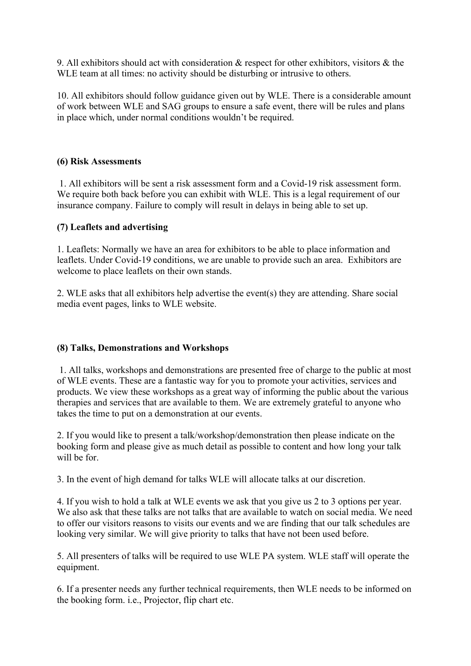9. All exhibitors should act with consideration & respect for other exhibitors, visitors & the WLE team at all times: no activity should be disturbing or intrusive to others.

10. All exhibitors should follow guidance given out by WLE. There is a considerable amount of work between WLE and SAG groups to ensure a safe event, there will be rules and plans in place which, under normal conditions wouldn't be required.

#### (6) Risk Assessments

 1. All exhibitors will be sent a risk assessment form and a Covid-19 risk assessment form. We require both back before you can exhibit with WLE. This is a legal requirement of our insurance company. Failure to comply will result in delays in being able to set up.

#### (7) Leaflets and advertising

1. Leaflets: Normally we have an area for exhibitors to be able to place information and leaflets. Under Covid-19 conditions, we are unable to provide such an area. Exhibitors are welcome to place leaflets on their own stands.

2. WLE asks that all exhibitors help advertise the event(s) they are attending. Share social media event pages, links to WLE website.

#### (8) Talks, Demonstrations and Workshops

 1. All talks, workshops and demonstrations are presented free of charge to the public at most of WLE events. These are a fantastic way for you to promote your activities, services and products. We view these workshops as a great way of informing the public about the various therapies and services that are available to them. We are extremely grateful to anyone who takes the time to put on a demonstration at our events.

2. If you would like to present a talk/workshop/demonstration then please indicate on the booking form and please give as much detail as possible to content and how long your talk will be for.

3. In the event of high demand for talks WLE will allocate talks at our discretion.

4. If you wish to hold a talk at WLE events we ask that you give us 2 to 3 options per year. We also ask that these talks are not talks that are available to watch on social media. We need to offer our visitors reasons to visits our events and we are finding that our talk schedules are looking very similar. We will give priority to talks that have not been used before.

5. All presenters of talks will be required to use WLE PA system. WLE staff will operate the equipment.

6. If a presenter needs any further technical requirements, then WLE needs to be informed on the booking form. i.e., Projector, flip chart etc.